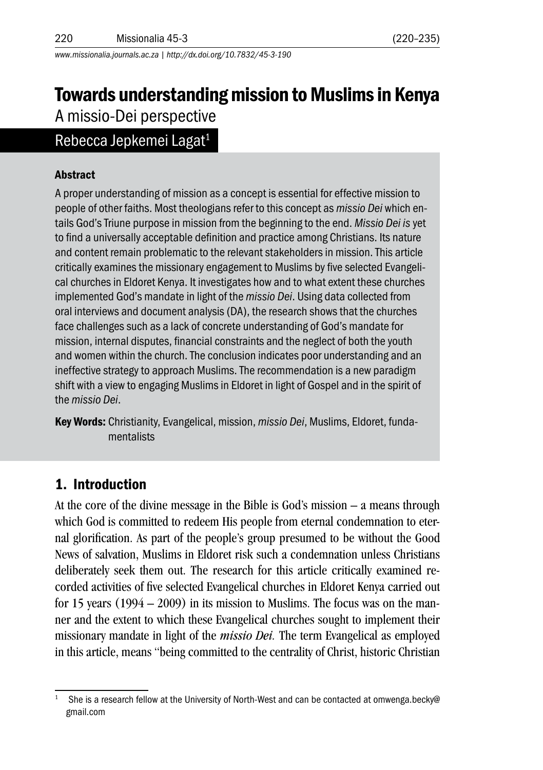*www.missionalia.journals.ac.za | http://dx.doi.org/10.7832/45-3-190*

# Towards understanding mission to Muslims in Kenya A missio-Dei perspective

## Rebecca Jepkemei Lagat<sup>1</sup>

#### Abstract

A proper understanding of mission as a concept is essential for effective mission to people of other faiths. Most theologians refer to this concept as *missio Dei* which entails God's Triune purpose in mission from the beginning to the end. *Missio Dei is* yet to find a universally acceptable definition and practice among Christians. Its nature and content remain problematic to the relevant stakeholders in mission. This article critically examines the missionary engagement to Muslims by five selected Evangelical churches in Eldoret Kenya. It investigates how and to what extent these churches implemented God's mandate in light of the *missio Dei*. Using data collected from oral interviews and document analysis (DA), the research shows that the churches face challenges such as a lack of concrete understanding of God's mandate for mission, internal disputes, financial constraints and the neglect of both the youth and women within the church. The conclusion indicates poor understanding and an ineffective strategy to approach Muslims. The recommendation is a new paradigm shift with a view to engaging Muslims in Eldoret in light of Gospel and in the spirit of the *missio Dei*.

Key Words: Christianity, Evangelical, mission, *missio Dei*, Muslims, Eldoret, fundamentalists

### 1. Introduction

At the core of the divine message in the Bible is God's mission – a means through which God is committed to redeem His people from eternal condemnation to eternal glorification. As part of the people's group presumed to be without the Good News of salvation, Muslims in Eldoret risk such a condemnation unless Christians deliberately seek them out. The research for this article critically examined recorded activities of five selected Evangelical churches in Eldoret Kenya carried out for 15 years  $(1994 - 2009)$  in its mission to Muslims. The focus was on the manner and the extent to which these Evangelical churches sought to implement their missionary mandate in light of the *missio Dei.* The term Evangelical as employed in this article, means "being committed to the centrality of Christ, historic Christian

She is a research fellow at the University of North-West and can be contacted at omwenga.becky@ gmail.com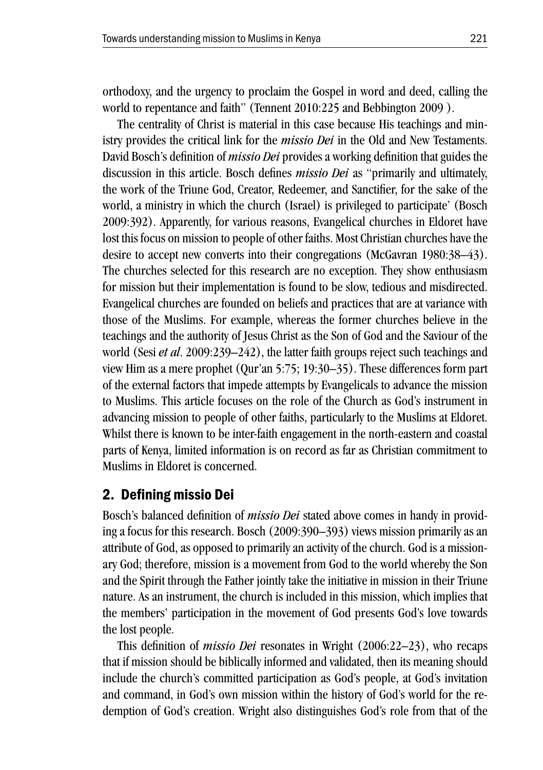orthodoxy, and the urgency to proclaim the Gospel in word and deed, calling the world to repentance and faith" (Tennent 2010:225 and Bebbington 2009 ).

The centrality of Christ is material in this case because His teachings and ministry provides the critical link for the *missio Dei* in the Old and New Testaments. David Bosch's definition of *missio Dei* provides a working definition that guides the discussion in this article. Bosch defines *missio Dei* as "primarily and ultimately, the work of the Triune God, Creator, Redeemer, and Sanctifier, for the sake of the world, a ministry in which the church (Israel) is privileged to participate' (Bosch 2009:392). Apparently, for various reasons, Evangelical churches in Eldoret have lost this focus on mission to people of other faiths. Most Christian churches have the desire to accept new converts into their congregations (McGavran 1980:38–43). The churches selected for this research are no exception. They show enthusiasm for mission but their implementation is found to be slow, tedious and misdirected. Evangelical churches are founded on beliefs and practices that are at variance with those of the Muslims. For example, whereas the former churches believe in the teachings and the authority of Jesus Christ as the Son of God and the Saviour of the world (Sesi *et al*. 2009:239–242), the latter faith groups reject such teachings and view Him as a mere prophet (Qur'an 5:75; 19:30–35). These differences form part of the external factors that impede attempts by Evangelicals to advance the mission to Muslims. This article focuses on the role of the Church as God's instrument in advancing mission to people of other faiths, particularly to the Muslims at Eldoret. Whilst there is known to be inter-faith engagement in the north-eastern and coastal parts of Kenya, limited information is on record as far as Christian commitment to Muslims in Eldoret is concerned.

### 2. Defining missio Dei

Bosch's balanced definition of *missio Dei* stated above comes in handy in providing a focus for this research. Bosch (2009:390–393) views mission primarily as an attribute of God, as opposed to primarily an activity of the church. God is a missionary God; therefore, mission is a movement from God to the world whereby the Son and the Spirit through the Father jointly take the initiative in mission in their Triune nature. As an instrument, the church is included in this mission, which implies that the members' participation in the movement of God presents God's love towards the lost people.

This definition of *missio Dei* resonates in Wright (2006:22–23), who recaps that if mission should be biblically informed and validated, then its meaning should include the church's committed participation as God's people, at God's invitation and command, in God's own mission within the history of God's world for the redemption of God's creation. Wright also distinguishes God's role from that of the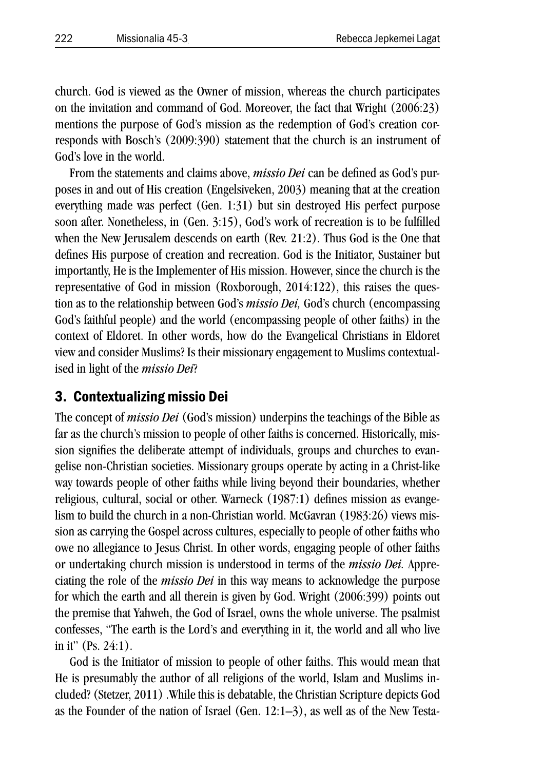church. God is viewed as the Owner of mission, whereas the church participates on the invitation and command of God. Moreover, the fact that Wright (2006:23) mentions the purpose of God's mission as the redemption of God's creation corresponds with Bosch's (2009:390) statement that the church is an instrument of God's love in the world.

From the statements and claims above, *missio Dei* can be defined as God's purposes in and out of His creation (Engelsiveken, 2003) meaning that at the creation everything made was perfect (Gen. 1:31) but sin destroyed His perfect purpose soon after. Nonetheless, in (Gen. 3:15), God's work of recreation is to be fulfilled when the New Jerusalem descends on earth (Rev. 21:2). Thus God is the One that defines His purpose of creation and recreation. God is the Initiator, Sustainer but importantly, He is the Implementer of His mission. However, since the church is the representative of God in mission (Roxborough, 2014:122), this raises the question as to the relationship between God's *missio Dei,* God's church (encompassing God's faithful people) and the world (encompassing people of other faiths) in the context of Eldoret. In other words, how do the Evangelical Christians in Eldoret view and consider Muslims? Is their missionary engagement to Muslims contextualised in light of the *missio Dei*?

#### 3. Contextualizing missio Dei

The concept of *missio Dei* (God's mission) underpins the teachings of the Bible as far as the church's mission to people of other faiths is concerned. Historically, mission signifies the deliberate attempt of individuals, groups and churches to evangelise non-Christian societies. Missionary groups operate by acting in a Christ-like way towards people of other faiths while living beyond their boundaries, whether religious, cultural, social or other. Warneck (1987:1) defines mission as evangelism to build the church in a non-Christian world. McGavran (1983:26) views mission as carrying the Gospel across cultures, especially to people of other faiths who owe no allegiance to Jesus Christ. In other words, engaging people of other faiths or undertaking church mission is understood in terms of the *missio Dei.* Appreciating the role of the *missio Dei* in this way means to acknowledge the purpose for which the earth and all therein is given by God. Wright (2006:399) points out the premise that Yahweh, the God of Israel, owns the whole universe. The psalmist confesses, "The earth is the Lord's and everything in it, the world and all who live in it" (Ps. 24:1).

God is the Initiator of mission to people of other faiths. This would mean that He is presumably the author of all religions of the world, Islam and Muslims included? (Stetzer, 2011) .While this is debatable, the Christian Scripture depicts God as the Founder of the nation of Israel (Gen. 12:1–3), as well as of the New Testa-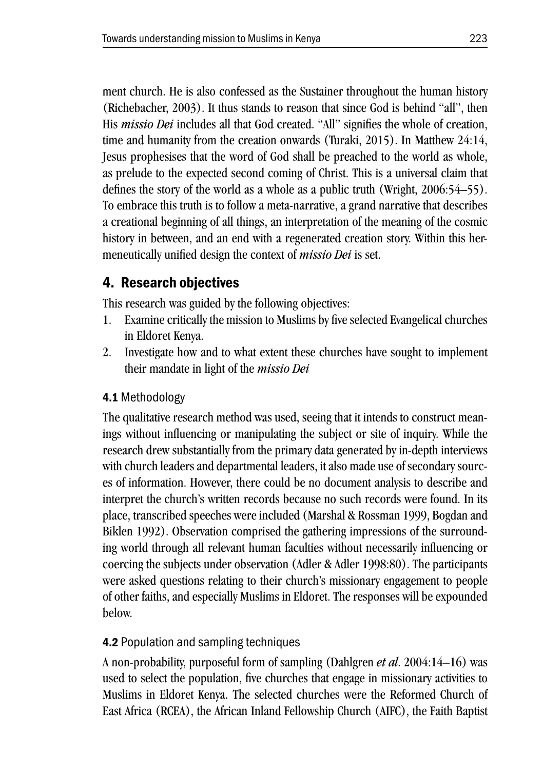ment church. He is also confessed as the Sustainer throughout the human history (Richebacher, 2003). It thus stands to reason that since God is behind "all", then His *missio Dei* includes all that God created. "All" signifies the whole of creation, time and humanity from the creation onwards (Turaki, 2015). In Matthew 24:14, Jesus prophesises that the word of God shall be preached to the world as whole, as prelude to the expected second coming of Christ. This is a universal claim that defines the story of the world as a whole as a public truth (Wright, 2006:54–55). To embrace this truth is to follow a meta-narrative, a grand narrative that describes a creational beginning of all things, an interpretation of the meaning of the cosmic history in between, and an end with a regenerated creation story. Within this hermeneutically unified design the context of *missio Dei* is set.

## 4. Research objectives

This research was guided by the following objectives:

- 1. Examine critically the mission to Muslims by five selected Evangelical churches in Eldoret Kenya.
- 2. Investigate how and to what extent these churches have sought to implement their mandate in light of the *missio Dei*

### 4.1 Methodology

The qualitative research method was used, seeing that it intends to construct meanings without influencing or manipulating the subject or site of inquiry. While the research drew substantially from the primary data generated by in-depth interviews with church leaders and departmental leaders, it also made use of secondary sources of information. However, there could be no document analysis to describe and interpret the church's written records because no such records were found. In its place, transcribed speeches were included (Marshal & Rossman 1999, Bogdan and Biklen 1992). Observation comprised the gathering impressions of the surrounding world through all relevant human faculties without necessarily influencing or coercing the subjects under observation (Adler & Adler 1998:80). The participants were asked questions relating to their church's missionary engagement to people of other faiths, and especially Muslims in Eldoret. The responses will be expounded below.

### 4.2 Population and sampling techniques

A non-probability, purposeful form of sampling (Dahlgren *et al*. 2004:14–16) was used to select the population, five churches that engage in missionary activities to Muslims in Eldoret Kenya. The selected churches were the Reformed Church of East Africa (RCEA), the African Inland Fellowship Church (AIFC), the Faith Baptist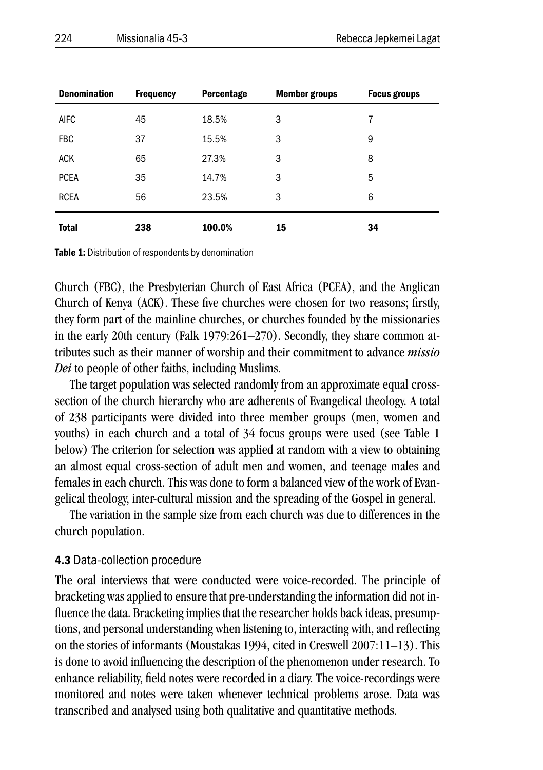| <b>Denomination</b> | <b>Frequency</b> | Percentage | <b>Member groups</b> | <b>Focus groups</b> |
|---------------------|------------------|------------|----------------------|---------------------|
| <b>AIFC</b>         | 45               | 18.5%      | 3                    | 7                   |
| <b>FBC</b>          | 37               | 15.5%      | 3                    | 9                   |
| <b>ACK</b>          | 65               | 27.3%      | 3                    | 8                   |
| <b>PCEA</b>         | 35               | 14.7%      | 3                    | 5                   |
| <b>RCEA</b>         | 56               | 23.5%      | 3                    | 6                   |
| <b>Total</b>        | 238              | 100.0%     | 15                   | 34                  |

Table 1: Distribution of respondents by denomination

Church (FBC), the Presbyterian Church of East Africa (PCEA), and the Anglican Church of Kenya (ACK). These five churches were chosen for two reasons; firstly, they form part of the mainline churches, or churches founded by the missionaries in the early 20th century (Falk 1979:261–270). Secondly, they share common attributes such as their manner of worship and their commitment to advance *missio Dei* to people of other faiths, including Muslims.

The target population was selected randomly from an approximate equal crosssection of the church hierarchy who are adherents of Evangelical theology. A total of 238 participants were divided into three member groups (men, women and youths) in each church and a total of 34 focus groups were used (see Table 1 below) The criterion for selection was applied at random with a view to obtaining an almost equal cross-section of adult men and women, and teenage males and females in each church. This was done to form a balanced view of the work of Evangelical theology, inter-cultural mission and the spreading of the Gospel in general.

The variation in the sample size from each church was due to differences in the church population.

#### 4.3 Data-collection procedure

The oral interviews that were conducted were voice-recorded. The principle of bracketing was applied to ensure that pre-understanding the information did not influence the data. Bracketing implies that the researcher holds back ideas, presumptions, and personal understanding when listening to, interacting with, and reflecting on the stories of informants (Moustakas 1994, cited in Creswell 2007:11–13). This is done to avoid influencing the description of the phenomenon under research. To enhance reliability, field notes were recorded in a diary. The voice-recordings were monitored and notes were taken whenever technical problems arose. Data was transcribed and analysed using both qualitative and quantitative methods.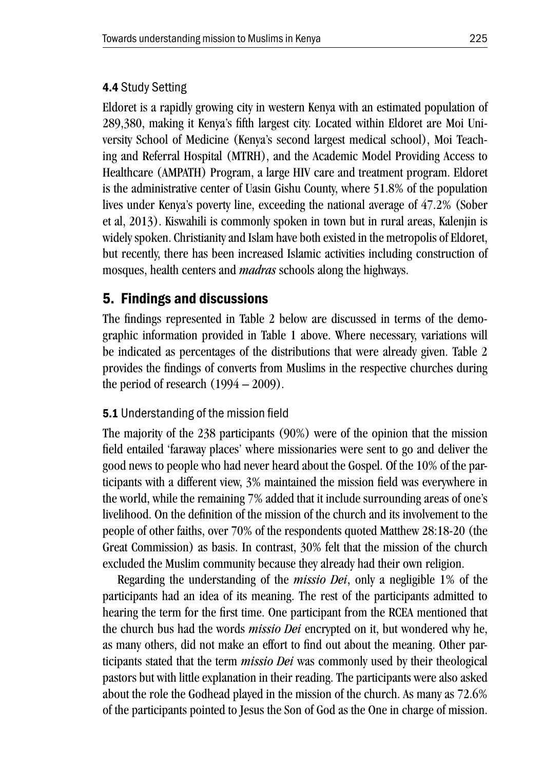#### 4.4 Study Setting

Eldoret is a rapidly growing city in western Kenya with an estimated population of 289,380, making it Kenya's fifth largest city. Located within Eldoret are Moi University School of Medicine (Kenya's second largest medical school), Moi Teaching and Referral Hospital (MTRH), and the Academic Model Providing Access to Healthcare (AMPATH) Program, a large HIV care and treatment program. Eldoret is the administrative center of Uasin Gishu County, where 51.8% of the population lives under Kenya's poverty line, exceeding the national average of 47.2% (Sober et al, 2013). Kiswahili is commonly spoken in town but in rural areas, Kalenjin is widely spoken. Christianity and Islam have both existed in the metropolis of Eldoret, but recently, there has been increased Islamic activities including construction of mosques, health centers and *madras* schools along the highways.

### 5. Findings and discussions

The findings represented in Table 2 below are discussed in terms of the demographic information provided in Table 1 above. Where necessary, variations will be indicated as percentages of the distributions that were already given. Table 2 provides the findings of converts from Muslims in the respective churches during the period of research  $(1994 - 2009)$ .

### 5.1 Understanding of the mission field

The majority of the 238 participants (90%) were of the opinion that the mission field entailed 'faraway places' where missionaries were sent to go and deliver the good news to people who had never heard about the Gospel. Of the 10% of the participants with a different view, 3% maintained the mission field was everywhere in the world, while the remaining 7% added that it include surrounding areas of one's livelihood. On the definition of the mission of the church and its involvement to the people of other faiths, over 70% of the respondents quoted Matthew 28:18-20 (the Great Commission) as basis. In contrast, 30% felt that the mission of the church excluded the Muslim community because they already had their own religion.

Regarding the understanding of the *missio Dei*, only a negligible 1% of the participants had an idea of its meaning. The rest of the participants admitted to hearing the term for the first time. One participant from the RCEA mentioned that the church bus had the words *missio Dei* encrypted on it, but wondered why he, as many others, did not make an effort to find out about the meaning. Other participants stated that the term *missio Dei* was commonly used by their theological pastors but with little explanation in their reading. The participants were also asked about the role the Godhead played in the mission of the church. As many as 72.6% of the participants pointed to Jesus the Son of God as the One in charge of mission.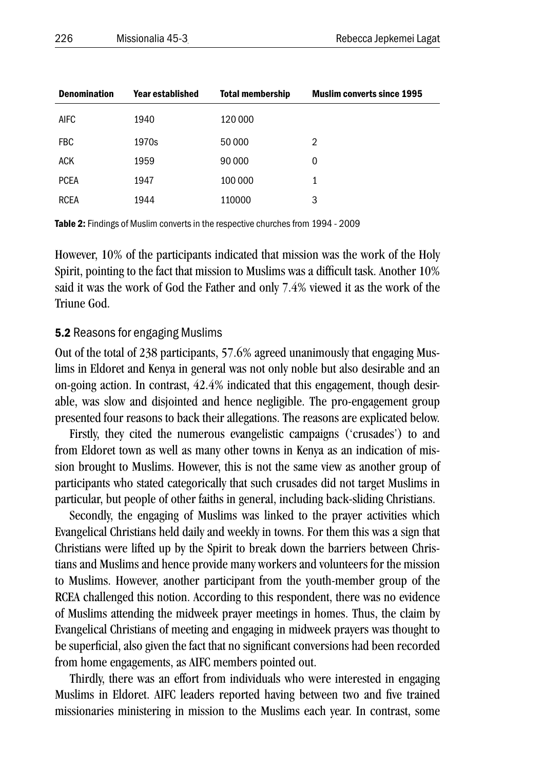| <b>Denomination</b> | Year established | <b>Total membership</b> | <b>Muslim converts since 1995</b> |
|---------------------|------------------|-------------------------|-----------------------------------|
| <b>AIFC</b>         | 1940             | 120 000                 |                                   |
| <b>FBC</b>          | 1970s            | 50 000                  | $\overline{2}$                    |
| <b>ACK</b>          | 1959             | 90 000                  | 0                                 |
| <b>PCEA</b>         | 1947             | 100 000                 | 1                                 |
| <b>RCEA</b>         | 1944             | 110000                  | 3                                 |

Table 2: Findings of Muslim converts in the respective churches from 1994 - 2009

However, 10% of the participants indicated that mission was the work of the Holy Spirit, pointing to the fact that mission to Muslims was a difficult task. Another 10% said it was the work of God the Father and only 7.4% viewed it as the work of the Triune God.

#### 5.2 Reasons for engaging Muslims

Out of the total of 238 participants, 57.6% agreed unanimously that engaging Muslims in Eldoret and Kenya in general was not only noble but also desirable and an on-going action. In contrast, 42.4% indicated that this engagement, though desirable, was slow and disjointed and hence negligible. The pro-engagement group presented four reasons to back their allegations. The reasons are explicated below.

Firstly, they cited the numerous evangelistic campaigns ('crusades') to and from Eldoret town as well as many other towns in Kenya as an indication of mission brought to Muslims. However, this is not the same view as another group of participants who stated categorically that such crusades did not target Muslims in particular, but people of other faiths in general, including back-sliding Christians.

Secondly, the engaging of Muslims was linked to the prayer activities which Evangelical Christians held daily and weekly in towns. For them this was a sign that Christians were lifted up by the Spirit to break down the barriers between Christians and Muslims and hence provide many workers and volunteers for the mission to Muslims. However, another participant from the youth-member group of the RCEA challenged this notion. According to this respondent, there was no evidence of Muslims attending the midweek prayer meetings in homes. Thus, the claim by Evangelical Christians of meeting and engaging in midweek prayers was thought to be superficial, also given the fact that no significant conversions had been recorded from home engagements, as AIFC members pointed out.

Thirdly, there was an effort from individuals who were interested in engaging Muslims in Eldoret. AIFC leaders reported having between two and five trained missionaries ministering in mission to the Muslims each year. In contrast, some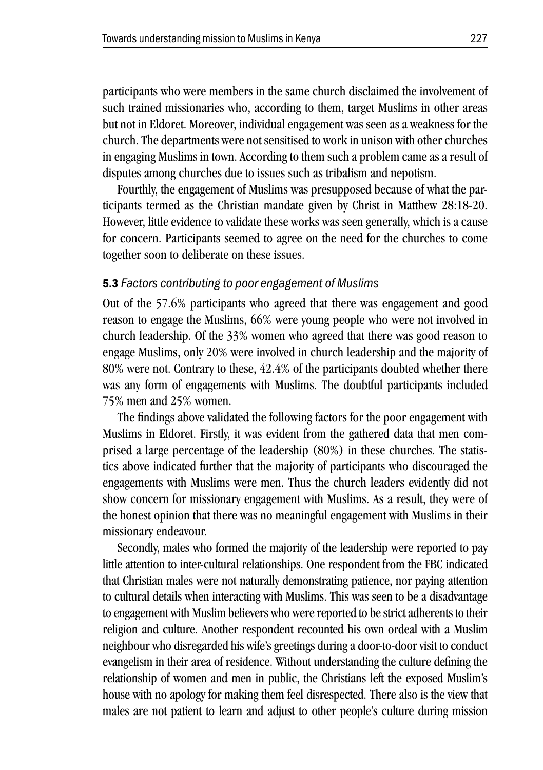participants who were members in the same church disclaimed the involvement of such trained missionaries who, according to them, target Muslims in other areas but not in Eldoret. Moreover, individual engagement was seen as a weakness for the church. The departments were not sensitised to work in unison with other churches in engaging Muslims in town. According to them such a problem came as a result of disputes among churches due to issues such as tribalism and nepotism.

Fourthly, the engagement of Muslims was presupposed because of what the participants termed as the Christian mandate given by Christ in Matthew 28:18-20. However, little evidence to validate these works was seen generally, which is a cause for concern. Participants seemed to agree on the need for the churches to come together soon to deliberate on these issues.

#### 5.3 *Factors contributing to poor engagement of Muslims*

Out of the 57.6% participants who agreed that there was engagement and good reason to engage the Muslims, 66% were young people who were not involved in church leadership. Of the 33% women who agreed that there was good reason to engage Muslims, only 20% were involved in church leadership and the majority of 80% were not. Contrary to these, 42.4% of the participants doubted whether there was any form of engagements with Muslims. The doubtful participants included 75% men and 25% women.

The findings above validated the following factors for the poor engagement with Muslims in Eldoret. Firstly, it was evident from the gathered data that men comprised a large percentage of the leadership (80%) in these churches. The statistics above indicated further that the majority of participants who discouraged the engagements with Muslims were men. Thus the church leaders evidently did not show concern for missionary engagement with Muslims. As a result, they were of the honest opinion that there was no meaningful engagement with Muslims in their missionary endeavour.

Secondly, males who formed the majority of the leadership were reported to pay little attention to inter-cultural relationships. One respondent from the FBC indicated that Christian males were not naturally demonstrating patience, nor paying attention to cultural details when interacting with Muslims. This was seen to be a disadvantage to engagement with Muslim believers who were reported to be strict adherents to their religion and culture. Another respondent recounted his own ordeal with a Muslim neighbour who disregarded his wife's greetings during a door-to-door visit to conduct evangelism in their area of residence. Without understanding the culture defining the relationship of women and men in public, the Christians left the exposed Muslim's house with no apology for making them feel disrespected. There also is the view that males are not patient to learn and adjust to other people's culture during mission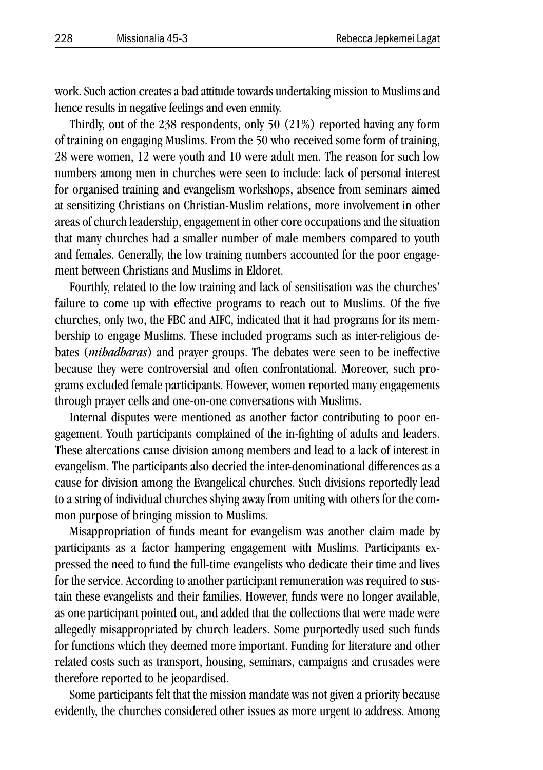work. Such action creates a bad attitude towards undertaking mission to Muslims and hence results in negative feelings and even enmity.

Thirdly, out of the 238 respondents, only 50 (21%) reported having any form of training on engaging Muslims. From the 50 who received some form of training, 28 were women, 12 were youth and 10 were adult men. The reason for such low numbers among men in churches were seen to include: lack of personal interest for organised training and evangelism workshops, absence from seminars aimed at sensitizing Christians on Christian-Muslim relations, more involvement in other areas of church leadership, engagement in other core occupations and the situation that many churches had a smaller number of male members compared to youth and females. Generally, the low training numbers accounted for the poor engagement between Christians and Muslims in Eldoret.

Fourthly, related to the low training and lack of sensitisation was the churches' failure to come up with effective programs to reach out to Muslims. Of the five churches, only two, the FBC and AIFC, indicated that it had programs for its membership to engage Muslims. These included programs such as inter-religious debates (*mihadharas*) and prayer groups. The debates were seen to be ineffective because they were controversial and often confrontational. Moreover, such programs excluded female participants. However, women reported many engagements through prayer cells and one-on-one conversations with Muslims.

Internal disputes were mentioned as another factor contributing to poor engagement. Youth participants complained of the in-fighting of adults and leaders. These altercations cause division among members and lead to a lack of interest in evangelism. The participants also decried the inter-denominational differences as a cause for division among the Evangelical churches. Such divisions reportedly lead to a string of individual churches shying away from uniting with others for the common purpose of bringing mission to Muslims.

Misappropriation of funds meant for evangelism was another claim made by participants as a factor hampering engagement with Muslims. Participants expressed the need to fund the full-time evangelists who dedicate their time and lives for the service. According to another participant remuneration was required to sustain these evangelists and their families. However, funds were no longer available, as one participant pointed out, and added that the collections that were made were allegedly misappropriated by church leaders. Some purportedly used such funds for functions which they deemed more important. Funding for literature and other related costs such as transport, housing, seminars, campaigns and crusades were therefore reported to be jeopardised.

Some participants felt that the mission mandate was not given a priority because evidently, the churches considered other issues as more urgent to address. Among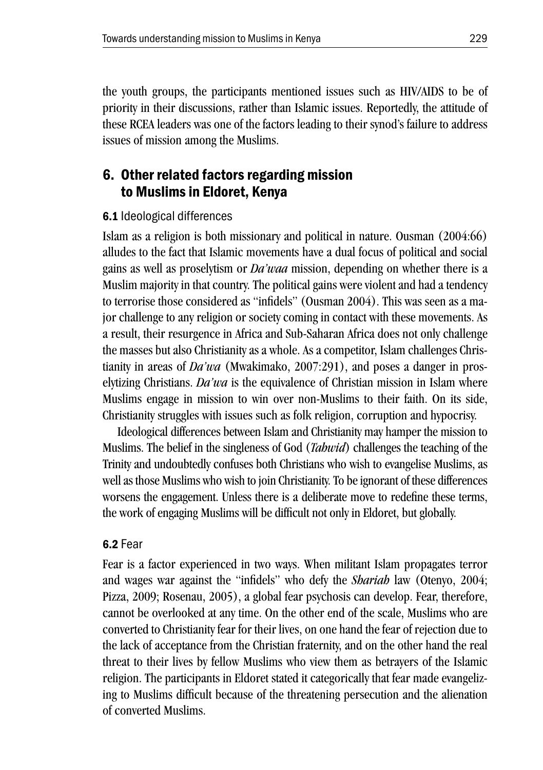the youth groups, the participants mentioned issues such as HIV/AIDS to be of priority in their discussions, rather than Islamic issues. Reportedly, the attitude of these RCEA leaders was one of the factors leading to their synod's failure to address issues of mission among the Muslims.

## 6. Other related factors regarding mission to Muslims in Eldoret, Kenya

### 6.1 Ideological differences

Islam as a religion is both missionary and political in nature. Ousman (2004:66) alludes to the fact that Islamic movements have a dual focus of political and social gains as well as proselytism or *Da'waa* mission, depending on whether there is a Muslim majority in that country. The political gains were violent and had a tendency to terrorise those considered as "infidels" (Ousman 2004). This was seen as a major challenge to any religion or society coming in contact with these movements. As a result, their resurgence in Africa and Sub-Saharan Africa does not only challenge the masses but also Christianity as a whole. As a competitor, Islam challenges Christianity in areas of *Da'wa* (Mwakimako, 2007:291), and poses a danger in proselytizing Christians. *Da'wa* is the equivalence of Christian mission in Islam where Muslims engage in mission to win over non-Muslims to their faith. On its side, Christianity struggles with issues such as folk religion, corruption and hypocrisy.

Ideological differences between Islam and Christianity may hamper the mission to Muslims. The belief in the singleness of God (*Tahwid*) challenges the teaching of the Trinity and undoubtedly confuses both Christians who wish to evangelise Muslims, as well as those Muslims who wish to join Christianity. To be ignorant of these differences worsens the engagement. Unless there is a deliberate move to redefine these terms, the work of engaging Muslims will be difficult not only in Eldoret, but globally.

### 6.2 Fear

Fear is a factor experienced in two ways. When militant Islam propagates terror and wages war against the "infidels" who defy the *Shariah* law (Otenyo, 2004; Pizza, 2009; Rosenau, 2005), a global fear psychosis can develop. Fear, therefore, cannot be overlooked at any time. On the other end of the scale, Muslims who are converted to Christianity fear for their lives, on one hand the fear of rejection due to the lack of acceptance from the Christian fraternity, and on the other hand the real threat to their lives by fellow Muslims who view them as betrayers of the Islamic religion. The participants in Eldoret stated it categorically that fear made evangelizing to Muslims difficult because of the threatening persecution and the alienation of converted Muslims.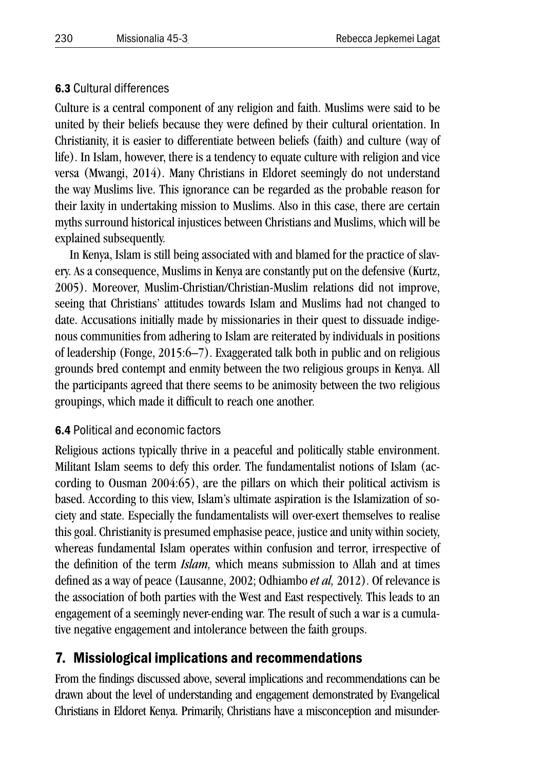### 6.3 Cultural differences

Culture is a central component of any religion and faith. Muslims were said to be united by their beliefs because they were defined by their cultural orientation. In Christianity, it is easier to differentiate between beliefs (faith) and culture (way of life). In Islam, however, there is a tendency to equate culture with religion and vice versa (Mwangi, 2014). Many Christians in Eldoret seemingly do not understand the way Muslims live. This ignorance can be regarded as the probable reason for their laxity in undertaking mission to Muslims. Also in this case, there are certain myths surround historical injustices between Christians and Muslims, which will be explained subsequently.

In Kenya, Islam is still being associated with and blamed for the practice of slavery. As a consequence, Muslims in Kenya are constantly put on the defensive (Kurtz, 2005). Moreover, Muslim-Christian/Christian-Muslim relations did not improve, seeing that Christians' attitudes towards Islam and Muslims had not changed to date. Accusations initially made by missionaries in their quest to dissuade indigenous communities from adhering to Islam are reiterated by individuals in positions of leadership (Fonge, 2015:6–7). Exaggerated talk both in public and on religious grounds bred contempt and enmity between the two religious groups in Kenya. All the participants agreed that there seems to be animosity between the two religious groupings, which made it difficult to reach one another.

### 6.4 Political and economic factors

Religious actions typically thrive in a peaceful and politically stable environment. Militant Islam seems to defy this order. The fundamentalist notions of Islam (according to Ousman 2004:65), are the pillars on which their political activism is based. According to this view, Islam's ultimate aspiration is the Islamization of society and state. Especially the fundamentalists will over-exert themselves to realise this goal. Christianity is presumed emphasise peace, justice and unity within society, whereas fundamental Islam operates within confusion and terror, irrespective of the definition of the term *Islam,* which means submission to Allah and at times defined as a way of peace (Lausanne, 2002; Odhiambo *et al,* 2012). Of relevance is the association of both parties with the West and East respectively. This leads to an engagement of a seemingly never-ending war. The result of such a war is a cumulative negative engagement and intolerance between the faith groups.

## 7. Missiological implications and recommendations

From the findings discussed above, several implications and recommendations can be drawn about the level of understanding and engagement demonstrated by Evangelical Christians in Eldoret Kenya. Primarily, Christians have a misconception and misunder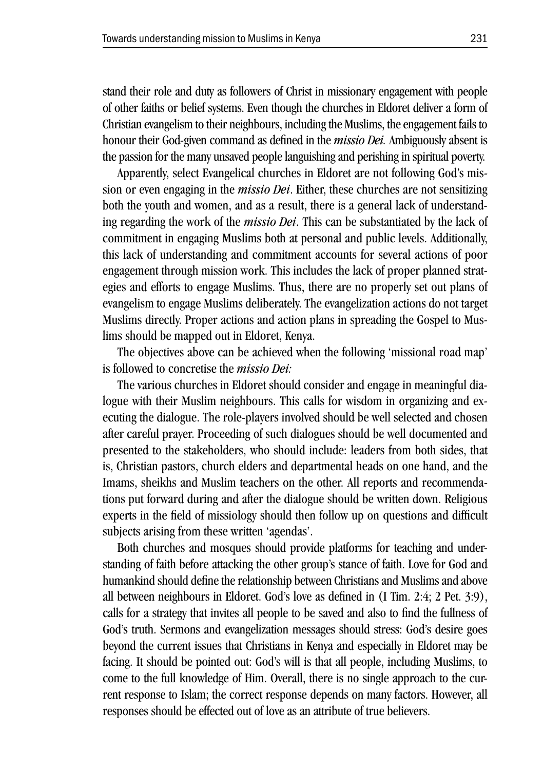stand their role and duty as followers of Christ in missionary engagement with people of other faiths or belief systems. Even though the churches in Eldoret deliver a form of Christian evangelism to their neighbours, including the Muslims, the engagement fails to honour their God-given command as defined in the *missio Dei.* Ambiguously absent is the passion for the many unsaved people languishing and perishing in spiritual poverty.

Apparently, select Evangelical churches in Eldoret are not following God's mission or even engaging in the *missio Dei*. Either, these churches are not sensitizing both the youth and women, and as a result, there is a general lack of understanding regarding the work of the *missio Dei*. This can be substantiated by the lack of commitment in engaging Muslims both at personal and public levels. Additionally, this lack of understanding and commitment accounts for several actions of poor engagement through mission work. This includes the lack of proper planned strategies and efforts to engage Muslims. Thus, there are no properly set out plans of evangelism to engage Muslims deliberately. The evangelization actions do not target Muslims directly. Proper actions and action plans in spreading the Gospel to Muslims should be mapped out in Eldoret, Kenya.

The objectives above can be achieved when the following 'missional road map' is followed to concretise the *missio Dei:*

The various churches in Eldoret should consider and engage in meaningful dialogue with their Muslim neighbours. This calls for wisdom in organizing and executing the dialogue. The role-players involved should be well selected and chosen after careful prayer. Proceeding of such dialogues should be well documented and presented to the stakeholders, who should include: leaders from both sides, that is, Christian pastors, church elders and departmental heads on one hand, and the Imams, sheikhs and Muslim teachers on the other. All reports and recommendations put forward during and after the dialogue should be written down. Religious experts in the field of missiology should then follow up on questions and difficult subjects arising from these written 'agendas'.

Both churches and mosques should provide platforms for teaching and understanding of faith before attacking the other group's stance of faith. Love for God and humankind should define the relationship between Christians and Muslims and above all between neighbours in Eldoret. God's love as defined in (I Tim. 2:4; 2 Pet. 3:9), calls for a strategy that invites all people to be saved and also to find the fullness of God's truth. Sermons and evangelization messages should stress: God's desire goes beyond the current issues that Christians in Kenya and especially in Eldoret may be facing. It should be pointed out: God's will is that all people, including Muslims, to come to the full knowledge of Him. Overall, there is no single approach to the current response to Islam; the correct response depends on many factors. However, all responses should be effected out of love as an attribute of true believers.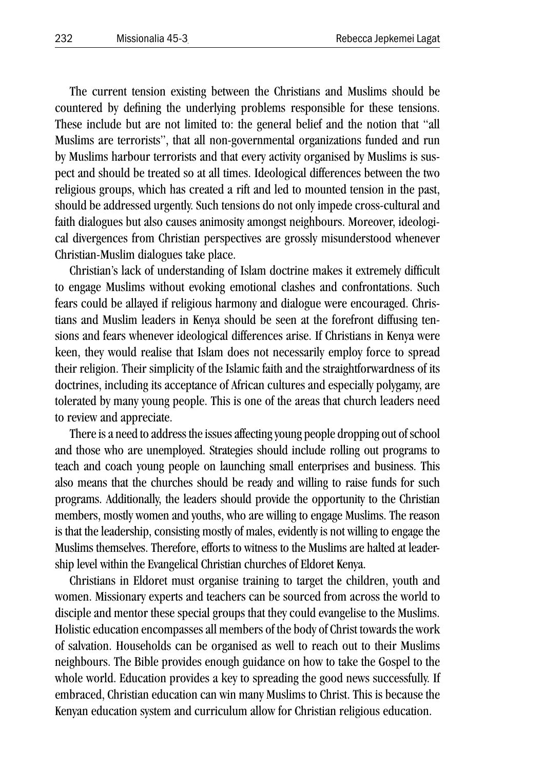The current tension existing between the Christians and Muslims should be countered by defining the underlying problems responsible for these tensions. These include but are not limited to: the general belief and the notion that "all Muslims are terrorists", that all non-governmental organizations funded and run by Muslims harbour terrorists and that every activity organised by Muslims is suspect and should be treated so at all times. Ideological differences between the two religious groups, which has created a rift and led to mounted tension in the past, should be addressed urgently. Such tensions do not only impede cross-cultural and faith dialogues but also causes animosity amongst neighbours. Moreover, ideological divergences from Christian perspectives are grossly misunderstood whenever Christian-Muslim dialogues take place.

Christian's lack of understanding of Islam doctrine makes it extremely difficult to engage Muslims without evoking emotional clashes and confrontations. Such fears could be allayed if religious harmony and dialogue were encouraged. Christians and Muslim leaders in Kenya should be seen at the forefront diffusing tensions and fears whenever ideological differences arise. If Christians in Kenya were keen, they would realise that Islam does not necessarily employ force to spread their religion. Their simplicity of the Islamic faith and the straightforwardness of its doctrines, including its acceptance of African cultures and especially polygamy, are tolerated by many young people. This is one of the areas that church leaders need to review and appreciate.

There is a need to address the issues affecting young people dropping out of school and those who are unemployed. Strategies should include rolling out programs to teach and coach young people on launching small enterprises and business. This also means that the churches should be ready and willing to raise funds for such programs. Additionally, the leaders should provide the opportunity to the Christian members, mostly women and youths, who are willing to engage Muslims. The reason is that the leadership, consisting mostly of males, evidently is not willing to engage the Muslims themselves. Therefore, efforts to witness to the Muslims are halted at leadership level within the Evangelical Christian churches of Eldoret Kenya.

Christians in Eldoret must organise training to target the children, youth and women. Missionary experts and teachers can be sourced from across the world to disciple and mentor these special groups that they could evangelise to the Muslims. Holistic education encompasses all members of the body of Christ towards the work of salvation. Households can be organised as well to reach out to their Muslims neighbours. The Bible provides enough guidance on how to take the Gospel to the whole world. Education provides a key to spreading the good news successfully. If embraced, Christian education can win many Muslims to Christ. This is because the Kenyan education system and curriculum allow for Christian religious education.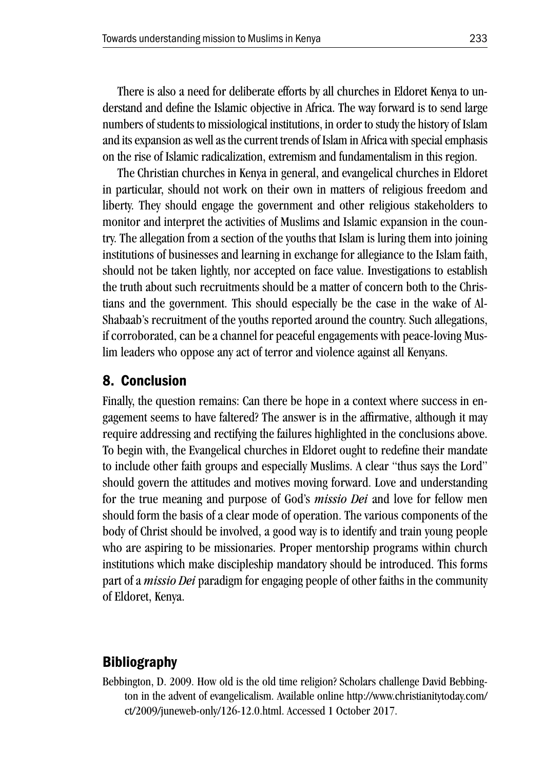There is also a need for deliberate efforts by all churches in Eldoret Kenya to understand and define the Islamic objective in Africa. The way forward is to send large numbers of students to missiological institutions, in order to study the history of Islam and its expansion as well as the current trends of Islam in Africa with special emphasis on the rise of Islamic radicalization, extremism and fundamentalism in this region.

The Christian churches in Kenya in general, and evangelical churches in Eldoret in particular, should not work on their own in matters of religious freedom and liberty. They should engage the government and other religious stakeholders to monitor and interpret the activities of Muslims and Islamic expansion in the country. The allegation from a section of the youths that Islam is luring them into joining institutions of businesses and learning in exchange for allegiance to the Islam faith, should not be taken lightly, nor accepted on face value. Investigations to establish the truth about such recruitments should be a matter of concern both to the Christians and the government. This should especially be the case in the wake of Al-Shabaab's recruitment of the youths reported around the country. Such allegations, if corroborated, can be a channel for peaceful engagements with peace-loving Muslim leaders who oppose any act of terror and violence against all Kenyans.

### 8. Conclusion

Finally, the question remains: Can there be hope in a context where success in engagement seems to have faltered? The answer is in the affirmative, although it may require addressing and rectifying the failures highlighted in the conclusions above. To begin with, the Evangelical churches in Eldoret ought to redefine their mandate to include other faith groups and especially Muslims. A clear "thus says the Lord" should govern the attitudes and motives moving forward. Love and understanding for the true meaning and purpose of God's *missio Dei* and love for fellow men should form the basis of a clear mode of operation. The various components of the body of Christ should be involved, a good way is to identify and train young people who are aspiring to be missionaries. Proper mentorship programs within church institutions which make discipleship mandatory should be introduced. This forms part of a *missio Dei* paradigm for engaging people of other faiths in the community of Eldoret, Kenya.

## **Bibliography**

Bebbington, D. 2009. How old is the old time religion? Scholars challenge David Bebbington in the advent of evangelicalism. Available online http://www.christianitytoday.com/ ct/2009/juneweb-only/126-12.0.html. Accessed 1 October 2017.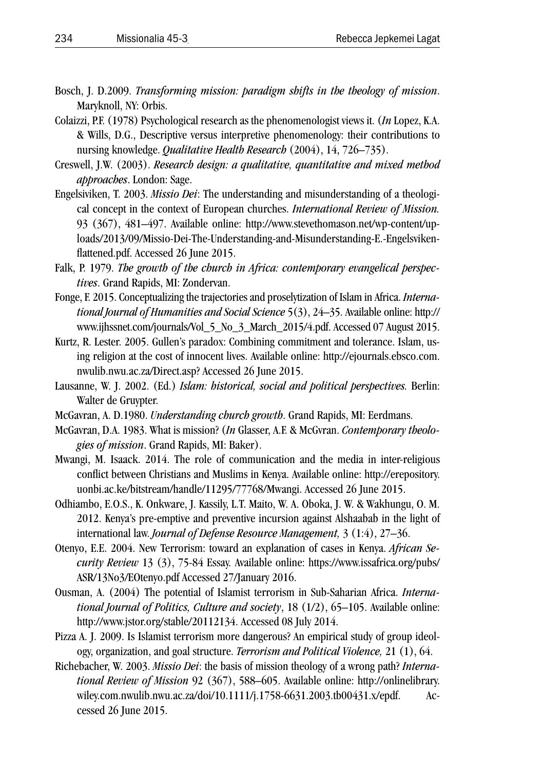- Bosch, J. D.2009. *Transforming mission: paradigm shifts in the theology of mission*. Maryknoll, NY: Orbis.
- Colaizzi, P.F. (1978) Psychological research as the phenomenologist views it. (*In* Lopez, K.A. & Wills, D.G., Descriptive versus interpretive phenomenology: their contributions to nursing knowledge. *Qualitative Health Research* (2004), 14, 726–735).
- Creswell, J.W. (2003). *Research design: a qualitative, quantitative and mixed method approaches*. London: Sage.
- Engelsiviken, T. 2003. *Missio Dei*: The understanding and misunderstanding of a theological concept in the context of European churches. *International Review of Mission.*  93 (367), 481–497. Available online: http://www.stevethomason.net/wp-content/uploads/2013/09/Missio-Dei-The-Understanding-and-Misunderstanding-E.-Engelsvikenflattened.pdf. Accessed 26 June 2015.
- Falk, P. 1979. *The growth of the church in Africa: contemporary evangelical perspectives*. Grand Rapids, MI: Zondervan.
- Fonge, F. 2015. Conceptualizing the trajectories and proselytization of Islam in Africa. *International Journal of Humanities and Social Science* 5(3), 24–35. Available online: http:// www.ijhssnet.com/journals/Vol\_5\_No\_3\_March\_2015/4.pdf. Accessed 07 August 2015.
- Kurtz, R. Lester. 2005. Gullen's paradox: Combining commitment and tolerance. Islam, using religion at the cost of innocent lives. Available online: http://ejournals.ebsco.com. nwulib.nwu.ac.za/Direct.asp? Accessed 26 June 2015.
- Lausanne, W. J. 2002. (Ed.) *Islam: historical, social and political perspectives.* Berlin: Walter de Gruypter.
- McGavran, A. D.1980. *Understanding church growth*. Grand Rapids, MI: Eerdmans.
- McGavran, D.A. 1983. What is mission? (*In* Glasser, A.F. & McGvran. *Contemporary theologies of mission*. Grand Rapids, MI: Baker).
- Mwangi, M. Isaack. 2014. The role of communication and the media in inter-religious conflict between Christians and Muslims in Kenya. Available online: http://erepository. uonbi.ac.ke/bitstream/handle/11295/77768/Mwangi. Accessed 26 June 2015.
- Odhiambo, E.O.S., K. Onkware, J. Kassily, L.T. Maito, W. A. Oboka, J. W. & Wakhungu, O. M. 2012. Kenya's pre-emptive and preventive incursion against Alshaabab in the light of international law. *Journal of Defense Resource Management,* 3 (1:4), 27–36.
- Otenyo, E.E. 2004. New Terrorism: toward an explanation of cases in Kenya. *African Security Review* 13 (3), 75-84 Essay. Available online: https://www.issafrica.org/pubs/ ASR/13No3/EOtenyo.pdf Accessed 27/January 2016.
- Ousman, A. (2004) The potential of Islamist terrorism in Sub-Saharian Africa. *International Journal of Politics, Culture and society*, 18 (1/2), 65–105. Available online: http://www.jstor.org/stable/20112134. Accessed 08 July 2014.
- Pizza A. J. 2009. Is Islamist terrorism more dangerous? An empirical study of group ideology, organization, and goal structure. *Terrorism and Political Violence,* 21 (1), 64.
- Richebacher, W. 2003. *Missio Dei*: the basis of mission theology of a wrong path? *International Review of Mission* 92 (367), 588–605. Available online: http://onlinelibrary. wiley.com.nwulib.nwu.ac.za/doi/10.1111/j.1758-6631.2003.tb00431.x/epdf. Accessed 26 June 2015.